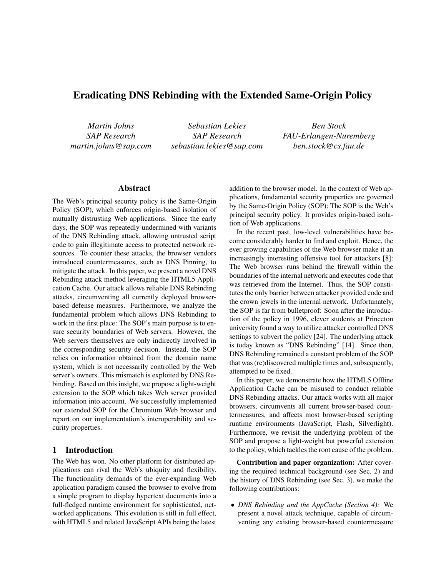# Eradicating DNS Rebinding with the Extended Same-Origin Policy

*Martin Johns SAP Research martin.johns@sap.com*

*Sebastian Lekies SAP Research sebastian.lekies@sap.com*

*Ben Stock FAU-Erlangen-Nuremberg ben.stock@cs.fau.de*

## Abstract

The Web's principal security policy is the Same-Origin Policy (SOP), which enforces origin-based isolation of mutually distrusting Web applications. Since the early days, the SOP was repeatedly undermined with variants of the DNS Rebinding attack, allowing untrusted script code to gain illegitimate access to protected network resources. To counter these attacks, the browser vendors introduced countermeasures, such as DNS Pinning, to mitigate the attack. In this paper, we present a novel DNS Rebinding attack method leveraging the HTML5 Application Cache. Our attack allows reliable DNS Rebinding attacks, circumventing all currently deployed browserbased defense measures. Furthermore, we analyze the fundamental problem which allows DNS Rebinding to work in the first place: The SOP's main purpose is to ensure security boundaries of Web servers. However, the Web servers themselves are only indirectly involved in the corresponding security decision. Instead, the SOP relies on information obtained from the domain name system, which is not necessarily controlled by the Web server's owners. This mismatch is exploited by DNS Rebinding. Based on this insight, we propose a light-weight extension to the SOP which takes Web server provided information into account. We successfully implemented our extended SOP for the Chromium Web browser and report on our implementation's interoperability and security properties.

## 1 Introduction

The Web has won. No other platform for distributed applications can rival the Web's ubiquity and flexibility. The functionality demands of the ever-expanding Web application paradigm caused the browser to evolve from a simple program to display hypertext documents into a full-fledged runtime environment for sophisticated, networked applications. This evolution is still in full effect, with HTML5 and related JavaScript APIs being the latest addition to the browser model. In the context of Web applications, fundamental security properties are governed by the Same-Origin Policy (SOP): The SOP is the Web's principal security policy. It provides origin-based isolation of Web applications.

In the recent past, low-level vulnerabilities have become considerably harder to find and exploit. Hence, the ever growing capabilities of the Web browser make it an increasingly interesting offensive tool for attackers [8]: The Web browser runs behind the firewall within the boundaries of the internal network and executes code that was retrieved from the Internet. Thus, the SOP constitutes the only barrier between attacker provided code and the crown jewels in the internal network. Unfortunately, the SOP is far from bulletproof: Soon after the introduction of the policy in 1996, clever students at Princeton university found a way to utilize attacker controlled DNS settings to subvert the policy [24]. The underlying attack is today known as "DNS Rebinding" [14]. Since then, DNS Rebinding remained a constant problem of the SOP that was (re)discovered multiple times and, subsequently, attempted to be fixed.

In this paper, we demonstrate how the HTML5 Offline Application Cache can be misused to conduct reliable DNS Rebinding attacks. Our attack works with all major browsers, circumvents all current browser-based countermeasures, and affects most browser-based scripting runtime environments (JavaScript, Flash, Silverlight). Furthermore, we revisit the underlying problem of the SOP and propose a light-weight but powerful extension to the policy, which tackles the root cause of the problem.

Contribution and paper organization: After covering the required technical background (see Sec. 2) and the history of DNS Rebinding (see Sec. 3), we make the following contributions:

• *DNS Rebinding and the AppCache (Section 4):* We present a novel attack technique, capable of circumventing any existing browser-based countermeasure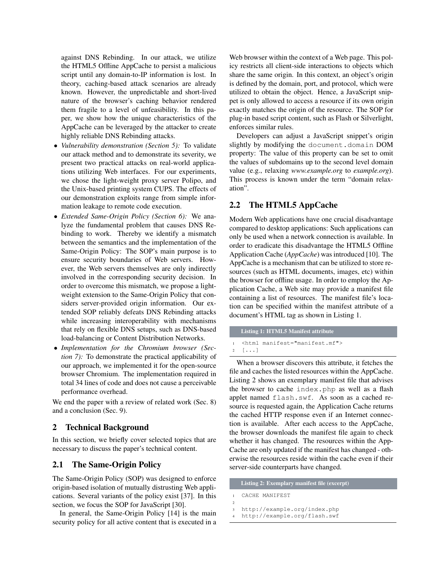against DNS Rebinding. In our attack, we utilize the HTML5 Offline AppCache to persist a malicious script until any domain-to-IP information is lost. In theory, caching-based attack scenarios are already known. However, the unpredictable and short-lived nature of the browser's caching behavior rendered them fragile to a level of unfeasibility. In this paper, we show how the unique characteristics of the AppCache can be leveraged by the attacker to create highly reliable DNS Rebinding attacks.

- *Vulnerability demonstration (Section 5):* To validate our attack method and to demonstrate its severity, we present two practical attacks on real-world applications utilizing Web interfaces. For our experiments, we chose the light-weight proxy server Polipo, and the Unix-based printing system CUPS. The effects of our demonstration exploits range from simple information leakage to remote code execution.
- *Extended Same-Origin Policy (Section 6):* We analyze the fundamental problem that causes DNS Rebinding to work. Thereby we identify a mismatch between the semantics and the implementation of the Same-Origin Policy: The SOP's main purpose is to ensure security boundaries of Web servers. However, the Web servers themselves are only indirectly involved in the corresponding security decision. In order to overcome this mismatch, we propose a lightweight extension to the Same-Origin Policy that considers server-provided origin information. Our extended SOP reliably defeats DNS Rebinding attacks while increasing interoperability with mechanisms that rely on flexible DNS setups, such as DNS-based load-balancing or Content Distribution Networks.
- *Implementation for the Chromium browser (Section 7):* To demonstrate the practical applicability of our approach, we implemented it for the open-source browser Chromium. The implementation required in total 34 lines of code and does not cause a perceivable performance overhead.

We end the paper with a review of related work (Sec. 8) and a conclusion (Sec. 9).

# 2 Technical Background

In this section, we briefly cover selected topics that are necessary to discuss the paper's technical content.

## 2.1 The Same-Origin Policy

The Same-Origin Policy (SOP) was designed to enforce origin-based isolation of mutually distrusting Web applications. Several variants of the policy exist [37]. In this section, we focus the SOP for JavaScript [30].

In general, the Same-Origin Policy [14] is the main security policy for all active content that is executed in a Web browser within the context of a Web page. This policy restricts all client-side interactions to objects which share the same origin. In this context, an object's origin is defined by the domain, port, and protocol, which were utilized to obtain the object. Hence, a JavaScript snippet is only allowed to access a resource if its own origin exactly matches the origin of the resource. The SOP for plug-in based script content, such as Flash or Silverlight, enforces similar rules.

Developers can adjust a JavaScript snippet's origin slightly by modifying the document.domain DOM property: The value of this property can be set to omit the values of subdomains up to the second level domain value (e.g., relaxing *www.example.org* to *example.org*). This process is known under the term "domain relaxation".

## 2.2 The HTML5 AppCache

Modern Web applications have one crucial disadvantage compared to desktop applications: Such applications can only be used when a network connection is available. In order to eradicate this disadvantage the HTML5 Offline Application Cache (*AppCache*) was introduced [10]. The AppCache is a mechanism that can be utilized to store resources (such as HTML documents, images, etc) within the browser for offline usage. In order to employ the Application Cache, a Web site may provide a manifest file containing a list of resources. The manifest file's location can be specified within the manifest attribute of a document's HTML tag as shown in Listing 1.

```
Listing 1: HTML5 Manifest attribute
1 <html manifest="manifest.mf">
2 [...]
```
When a browser discovers this attribute, it fetches the file and caches the listed resources within the AppCache. Listing 2 shows an exemplary manifest file that advises the browser to cache index.php as well as a flash applet named flash.swf. As soon as a cached resource is requested again, the Application Cache returns the cached HTTP response even if an Internet connection is available. After each access to the AppCache, the browser downloads the manifest file again to check whether it has changed. The resources within the App-Cache are only updated if the manifest has changed - otherwise the resources reside within the cache even if their server-side counterparts have changed.

|                | Listing 2: Exemplary manifest file (excerpt) |
|----------------|----------------------------------------------|
| $\blacksquare$ | CACHE MANIFEST                               |
| $\mathcal{D}$  |                                              |
| $\overline{3}$ | http://example.org/index.php                 |
|                | 4 http://example.org/flash.swf               |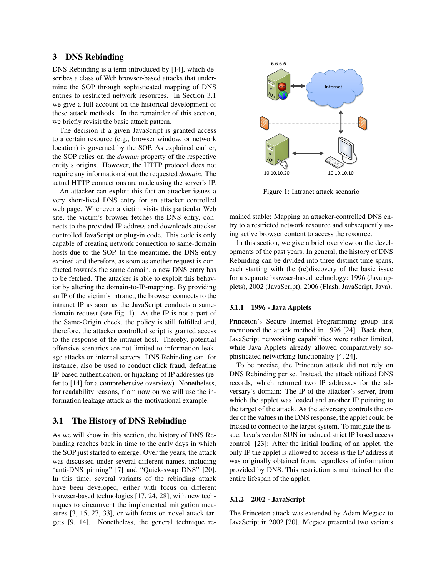# 3 DNS Rebinding

DNS Rebinding is a term introduced by [14], which describes a class of Web browser-based attacks that undermine the SOP through sophisticated mapping of DNS entries to restricted network resources. In Section 3.1 we give a full account on the historical development of these attack methods. In the remainder of this section, we briefly revisit the basic attack pattern.

The decision if a given JavaScript is granted access to a certain resource (e.g., browser window, or network location) is governed by the SOP. As explained earlier, the SOP relies on the *domain* property of the respective entity's origins. However, the HTTP protocol does not require any information about the requested *domain*. The actual HTTP connections are made using the server's IP.

An attacker can exploit this fact an attacker issues a very short-lived DNS entry for an attacker controlled web page. Whenever a victim visits this particular Web site, the victim's browser fetches the DNS entry, connects to the provided IP address and downloads attacker controlled JavaScript or plug-in code. This code is only capable of creating network connection to same-domain hosts due to the SOP. In the meantime, the DNS entry expired and therefore, as soon as another request is conducted towards the same domain, a new DNS entry has to be fetched. The attacker is able to exploit this behavior by altering the domain-to-IP-mapping. By providing an IP of the victim's intranet, the browser connects to the intranet IP as soon as the JavaScript conducts a samedomain request (see Fig. 1). As the IP is not a part of the Same-Origin check, the policy is still fulfilled and, therefore, the attacker controlled script is granted access to the response of the intranet host. Thereby, potential offensive scenarios are not limited to information leakage attacks on internal servers. DNS Rebinding can, for instance, also be used to conduct click fraud, defeating IP-based authentication, or hijacking of IP addresses (refer to [14] for a comprehensive overview). Nonetheless, for readability reasons, from now on we will use the information leakage attack as the motivational example.

## 3.1 The History of DNS Rebinding

As we will show in this section, the history of DNS Rebinding reaches back in time to the early days in which the SOP just started to emerge. Over the years, the attack was discussed under several different names, including "anti-DNS pinning" [7] and "Quick-swap DNS" [20]. In this time, several variants of the rebinding attack have been developed, either with focus on different browser-based technologies [17, 24, 28], with new techniques to circumvent the implemented mitigation measures [3, 15, 27, 33], or with focus on novel attack targets [9, 14]. Nonetheless, the general technique re-



Figure 1: Intranet attack scenario

mained stable: Mapping an attacker-controlled DNS entry to a restricted network resource and subsequently using active browser content to access the resource.

In this section, we give a brief overview on the developments of the past years. In general, the history of DNS Rebinding can be divided into three distinct time spans, each starting with the (re)discovery of the basic issue for a separate browser-based technology: 1996 (Java applets), 2002 (JavaScript), 2006 (Flash, JavaScript, Java).

### 3.1.1 1996 - Java Applets

Princeton's Secure Internet Programming group first mentioned the attack method in 1996 [24]. Back then, JavaScript networking capabilities were rather limited, while Java Applets already allowed comparatively sophisticated networking functionality [4, 24].

To be precise, the Princeton attack did not rely on DNS Rebinding per se. Instead, the attack utilized DNS records, which returned two IP addresses for the adversary's domain: The IP of the attacker's server, from which the applet was loaded and another IP pointing to the target of the attack. As the adversary controls the order of the values in the DNS response, the applet could be tricked to connect to the target system. To mitigate the issue, Java's vendor SUN introduced strict IP based access control [23]: After the initial loading of an applet, the only IP the applet is allowed to access is the IP address it was originally obtained from, regardless of information provided by DNS. This restriction is maintained for the entire lifespan of the applet.

#### 3.1.2 2002 - JavaScript

The Princeton attack was extended by Adam Megacz to JavaScript in 2002 [20]. Megacz presented two variants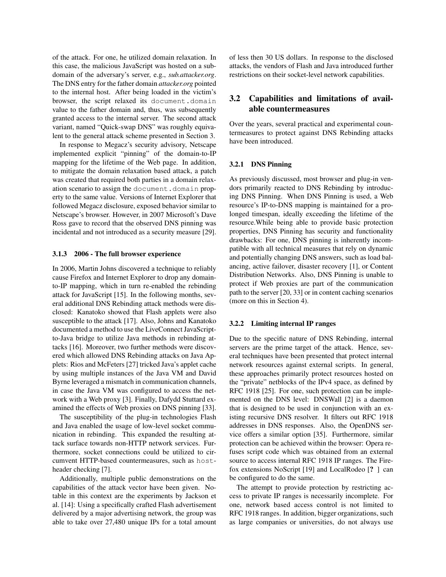of the attack. For one, he utilized domain relaxation. In this case, the malicious JavaScript was hosted on a subdomain of the adversary's server, e.g., *sub.attacker.org*. The DNS entry for the father domain *attacker.org* pointed to the internal host. After being loaded in the victim's browser, the script relaxed its document.domain value to the father domain and, thus, was subsequently granted access to the internal server. The second attack variant, named "Quick-swap DNS" was roughly equivalent to the general attack scheme presented in Section 3.

In response to Megacz's security advisory, Netscape implemented explicit "pinning" of the domain-to-IP mapping for the lifetime of the Web page. In addition, to mitigate the domain relaxation based attack, a patch was created that required both parties in a domain relaxation scenario to assign the document.domain property to the same value. Versions of Internet Explorer that followed Megacz disclosure, exposed behavior similar to Netscape's browser. However, in 2007 Microsoft's Dave Ross gave to record that the observed DNS pinning was incidental and not introduced as a security measure [29].

### 3.1.3 2006 - The full browser experience

In 2006, Martin Johns discovered a technique to reliably cause Firefox and Internet Explorer to drop any domainto-IP mapping, which in turn re-enabled the rebinding attack for JavaScript [15]. In the following months, several additional DNS Rebinding attack methods were disclosed: Kanatoko showed that Flash applets were also susceptible to the attack [17]. Also, Johns and Kanatoko documented a method to use the LiveConnect JavaScriptto-Java bridge to utilize Java methods in rebinding attacks [16]. Moreover, two further methods were discovered which allowed DNS Rebinding attacks on Java Applets: Rios and McFeters [27] tricked Java's applet cache by using multiple instances of the Java VM and David Byrne leveraged a mismatch in communication channels, in case the Java VM was configured to access the network with a Web proxy [3]. Finally, Dafydd Stuttard examined the effects of Web proxies on DNS pinning [33].

The susceptibility of the plug-in technologies Flash and Java enabled the usage of low-level socket communication in rebinding. This expanded the resulting attack surface towards non-HTTP network services. Furthermore, socket connections could be utilized to circumvent HTTP-based countermeasures, such as hostheader checking [7].

Additionally, multiple public demonstrations on the capabilities of the attack vector have been given. Notable in this context are the experiments by Jackson et al. [14]: Using a specifically crafted Flash advertisement delivered by a major advertising network, the group was able to take over 27,480 unique IPs for a total amount of less then 30 US dollars. In response to the disclosed attacks, the vendors of Flash and Java introduced further restrictions on their socket-level network capabilities.

# 3.2 Capabilities and limitations of available countermeasures

Over the years, several practical and experimental countermeasures to protect against DNS Rebinding attacks have been introduced.

### 3.2.1 DNS Pinning

As previously discussed, most browser and plug-in vendors primarily reacted to DNS Rebinding by introducing DNS Pinning. When DNS Pinning is used, a Web resource's IP-to-DNS mapping is maintained for a prolonged timespan, ideally exceeding the lifetime of the resource.While being able to provide basic protection properties, DNS Pinning has security and functionality drawbacks: For one, DNS pinning is inherently incompatible with all technical measures that rely on dynamic and potentially changing DNS answers, such as load balancing, active failover, disaster recovery [1], or Content Distribution Networks. Also, DNS Pinning is unable to protect if Web proxies are part of the communication path to the server [20, 33] or in content caching scenarios (more on this in Section 4).

### 3.2.2 Limiting internal IP ranges

Due to the specific nature of DNS Rebinding, internal servers are the prime target of the attack. Hence, several techniques have been presented that protect internal network resources against external scripts. In general, these approaches primarily protect resources hosted on the "private" netblocks of the IPv4 space, as defined by RFC 1918 [25]. For one, such protection can be implemented on the DNS level: DNSWall [2] is a daemon that is designed to be used in conjunction with an existing recursive DNS resolver. It filters out RFC 1918 addresses in DNS responses. Also, the OpenDNS service offers a similar option [35]. Furthermore, similar protection can be achieved within the browser: Opera refuses script code which was obtained from an external source to access internal RFC 1918 IP ranges. The Firefox extensions NoScript [19] and LocalRodeo [? ] can be configured to do the same.

The attempt to provide protection by restricting access to private IP ranges is necessarily incomplete. For one, network based access control is not limited to RFC 1918 ranges. In addition, bigger organizations, such as large companies or universities, do not always use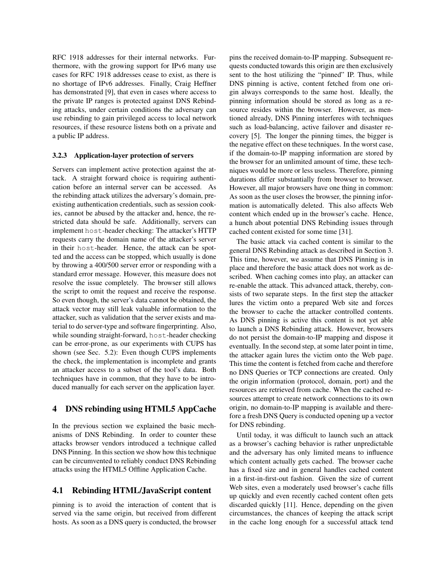RFC 1918 addresses for their internal networks. Furthermore, with the growing support for IPv6 many use cases for RFC 1918 addresses cease to exist, as there is no shortage of IPv6 addresses. Finally, Craig Heffner has demonstrated [9], that even in cases where access to the private IP ranges is protected against DNS Rebinding attacks, under certain conditions the adversary can use rebinding to gain privileged access to local network resources, if these resource listens both on a private and a public IP address.

### 3.2.3 Application-layer protection of servers

Servers can implement active protection against the attack. A straight forward choice is requiring authentication before an internal server can be accessed. As the rebinding attack utilizes the adversary's domain, preexisting authentication credentials, such as session cookies, cannot be abused by the attacker and, hence, the restricted data should be safe. Additionally, servers can implement host-header checking: The attacker's HTTP requests carry the domain name of the attacker's server in their host-header. Hence, the attack can be spotted and the access can be stopped, which usually is done by throwing a 400/500 server error or responding with a standard error message. However, this measure does not resolve the issue completely. The browser still allows the script to omit the request and receive the response. So even though, the server's data cannot be obtained, the attack vector may still leak valuable information to the attacker, such as validation that the server exists and material to do server-type and software fingerprinting. Also, while sounding straight-forward, host-header checking can be error-prone, as our experiments with CUPS has shown (see Sec. 5.2): Even though CUPS implements the check, the implementation is incomplete and grants an attacker access to a subset of the tool's data. Both techniques have in common, that they have to be introduced manually for each server on the application layer.

## 4 DNS rebinding using HTML5 AppCache

In the previous section we explained the basic mechanisms of DNS Rebinding. In order to counter these attacks browser vendors introduced a technique called DNS Pinning. In this section we show how this technique can be circumvented to reliably conduct DNS Rebinding attacks using the HTML5 Offline Application Cache.

# 4.1 Rebinding HTML/JavaScript content

pinning is to avoid the interaction of content that is served via the same origin, but received from different hosts. As soon as a DNS query is conducted, the browser pins the received domain-to-IP mapping. Subsequent requests conducted towards this origin are then exclusively sent to the host utilizing the "pinned" IP. Thus, while DNS pinning is active, content fetched from one origin always corresponds to the same host. Ideally, the pinning information should be stored as long as a resource resides within the browser. However, as mentioned already, DNS Pinning interferes with techniques such as load-balancing, active failover and disaster recovery [5]. The longer the pinning times, the bigger is the negative effect on these techniques. In the worst case, if the domain-to-IP mapping information are stored by the browser for an unlimited amount of time, these techniques would be more or less useless. Therefore, pinning durations differ substantially from browser to browser. However, all major browsers have one thing in common: As soon as the user closes the browser, the pinning information is automatically deleted. This also affects Web content which ended up in the browser's cache. Hence, a hunch about potential DNS Rebinding issues through cached content existed for some time [31].

The basic attack via cached content is similar to the general DNS Rebinding attack as described in Section 3. This time, however, we assume that DNS Pinning is in place and therefore the basic attack does not work as described. When caching comes into play, an attacker can re-enable the attack. This advanced attack, thereby, consists of two separate steps. In the first step the attacker lures the victim onto a prepared Web site and forces the browser to cache the attacker controlled contents. As DNS pinning is active this content is not yet able to launch a DNS Rebinding attack. However, browsers do not persist the domain-to-IP mapping and dispose it eventually. In the second step, at some later point in time, the attacker again lures the victim onto the Web page. This time the content is fetched from cache and therefore no DNS Queries or TCP connections are created. Only the origin information (protocol, domain, port) and the resources are retrieved from cache. When the cached resources attempt to create network connections to its own origin, no domain-to-IP mapping is available and therefore a fresh DNS Query is conducted opening up a vector for DNS rebinding.

Until today, it was difficult to launch such an attack as a browser's caching behavior is rather unpredictable and the adversary has only limited means to influence which content actually gets cached. The browser cache has a fixed size and in general handles cached content in a first-in-first-out fashion. Given the size of current Web sites, even a moderately used browser's cache fills up quickly and even recently cached content often gets discarded quickly [11]. Hence, depending on the given circumstances, the chances of keeping the attack script in the cache long enough for a successful attack tend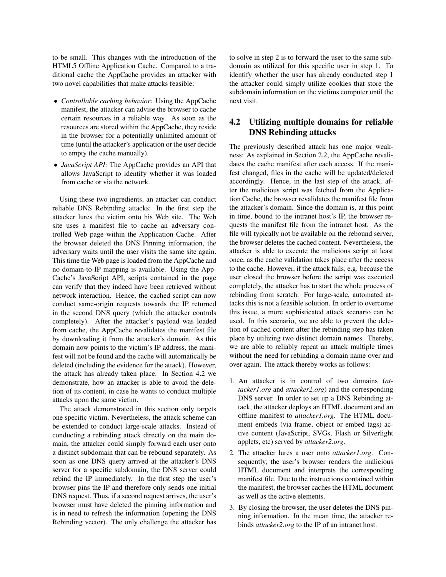to be small. This changes with the introduction of the HTML5 Offline Application Cache. Compared to a traditional cache the AppCache provides an attacker with two novel capabilities that make attacks feasible:

- *Controllable caching behavior:* Using the AppCache manifest, the attacker can advise the browser to cache certain resources in a reliable way. As soon as the resources are stored within the AppCache, they reside in the browser for a potentially unlimited amount of time (until the attacker's application or the user decide to empty the cache manually).
- *JavaScript API:* The AppCache provides an API that allows JavaScript to identify whether it was loaded from cache or via the network.

Using these two ingredients, an attacker can conduct reliable DNS Rebinding attacks: In the first step the attacker lures the victim onto his Web site. The Web site uses a manifest file to cache an adversary controlled Web page within the Application Cache. After the browser deleted the DNS Pinning information, the adversary waits until the user visits the same site again. This time the Web page is loaded from the AppCache and no domain-to-IP mapping is available. Using the App-Cache's JavaScript API, scripts contained in the page can verify that they indeed have been retrieved without network interaction. Hence, the cached script can now conduct same-origin requests towards the IP returned in the second DNS query (which the attacker controls completely). After the attacker's payload was loaded from cache, the AppCache revalidates the manifest file by downloading it from the attacker's domain. As this domain now points to the victim's IP address, the manifest will not be found and the cache will automatically be deleted (including the evidence for the attack). However, the attack has already taken place. In Section 4.2 we demonstrate, how an attacker is able to avoid the deletion of its content, in case he wants to conduct multiple attacks upon the same victim.

The attack demonstrated in this section only targets one specific victim. Nevertheless, the attack scheme can be extended to conduct large-scale attacks. Instead of conducting a rebinding attack directly on the main domain, the attacker could simply forward each user onto a distinct subdomain that can be rebound separately. As soon as one DNS query arrived at the attacker's DNS server for a specific subdomain, the DNS server could rebind the IP immediately. In the first step the user's browser pins the IP and therefore only sends one initial DNS request. Thus, if a second request arrives, the user's browser must have deleted the pinning information and is in need to refresh the information (opening the DNS Rebinding vector). The only challenge the attacker has to solve in step 2 is to forward the user to the same subdomain as utilized for this specific user in step 1. To identify whether the user has already conducted step 1 the attacker could simply utilize cookies that store the subdomain information on the victims computer until the next visit.

# 4.2 Utilizing multiple domains for reliable DNS Rebinding attacks

The previously described attack has one major weakness: As explained in Section 2.2, the AppCache revalidates the cache manifest after each access. If the manifest changed, files in the cache will be updated/deleted accordingly. Hence, in the last step of the attack, after the malicious script was fetched from the Application Cache, the browser revalidates the manifest file from the attacker's domain. Since the domain is, at this point in time, bound to the intranet host's IP, the browser requests the manifest file from the intranet host. As the file will typically not be available on the rebound server, the browser deletes the cached content. Nevertheless, the attacker is able to execute the malicious script at least once, as the cache validation takes place after the access to the cache. However, if the attack fails, e.g. because the user closed the browser before the script was executed completely, the attacker has to start the whole process of rebinding from scratch. For large-scale, automated attacks this is not a feasible solution. In order to overcome this issue, a more sophisticated attack scenario can be used. In this scenario, we are able to prevent the deletion of cached content after the rebinding step has taken place by utilizing two distinct domain names. Thereby, we are able to reliably repeat an attack multiple times without the need for rebinding a domain name over and over again. The attack thereby works as follows:

- 1. An attacker is in control of two domains (*attacker1.org* and *attacker2.org*) and the corresponding DNS server. In order to set up a DNS Rebinding attack, the attacker deploys an HTML document and an offline manifest to *attacker1.org*. The HTML document embeds (via frame, object or embed tags) active content (JavaScript, SVGs, Flash or Silverlight applets, etc) served by *attacker2.org*.
- 2. The attacker lures a user onto *attacker1.org*. Consequently, the user's browser renders the malicious HTML document and interprets the corresponding manifest file. Due to the instructions contained within the manifest, the browser caches the HTML document as well as the active elements.
- 3. By closing the browser, the user deletes the DNS pinning information. In the mean time, the attacker rebinds *attacker2.org* to the IP of an intranet host.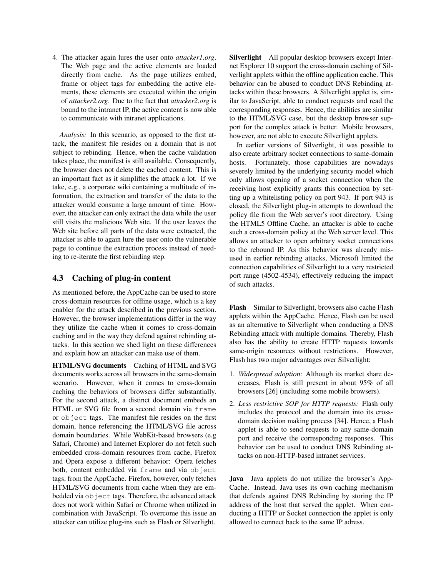4. The attacker again lures the user onto *attacker1.org*. The Web page and the active elements are loaded directly from cache. As the page utilizes embed, frame or object tags for embedding the active elements, these elements are executed within the origin of *attacker2.org*. Due to the fact that *attacker2.org* is bound to the intranet IP, the active content is now able to communicate with intranet applications.

*Analysis:* In this scenario, as opposed to the first attack, the manifest file resides on a domain that is not subject to rebinding. Hence, when the cache validation takes place, the manifest is still available. Consequently, the browser does not delete the cached content. This is an important fact as it simplifies the attack a lot. If we take, e.g., a corporate wiki containing a multitude of information, the extraction and transfer of the data to the attacker would consume a large amount of time. However, the attacker can only extract the data while the user still visits the malicious Web site. If the user leaves the Web site before all parts of the data were extracted, the attacker is able to again lure the user onto the vulnerable page to continue the extraction process instead of needing to re-iterate the first rebinding step.

## 4.3 Caching of plug-in content

As mentioned before, the AppCache can be used to store cross-domain resources for offline usage, which is a key enabler for the attack described in the previous section. However, the browser implementations differ in the way they utilize the cache when it comes to cross-domain caching and in the way they defend against rebinding attacks. In this section we shed light on these differences and explain how an attacker can make use of them.

HTML/SVG documents Caching of HTML and SVG documents works across all browsers in the same-domain scenario. However, when it comes to cross-domain caching the behaviors of browsers differ substantially. For the second attack, a distinct document embeds an HTML or SVG file from a second domain via frame or object tags. The manifest file resides on the first domain, hence referencing the HTML/SVG file across domain boundaries. While WebKit-based browsers (e.g Safari, Chrome) and Internet Explorer do not fetch such embedded cross-domain resources from cache, Firefox and Opera expose a different behavior: Opera fetches both, content embedded via frame and via object tags, from the AppCache. Firefox, however, only fetches HTML/SVG documents from cache when they are embedded via object tags. Therefore, the advanced attack does not work within Safari or Chrome when utilized in combination with JavaScript. To overcome this issue an attacker can utilize plug-ins such as Flash or Silverlight.

Silverlight All popular desktop browsers except Internet Explorer 10 support the cross-domain caching of Silverlight applets within the offline application cache. This behavior can be abused to conduct DNS Rebinding attacks within these browsers. A Silverlight applet is, similar to JavaScript, able to conduct requests and read the corresponding responses. Hence, the abilities are similar to the HTML/SVG case, but the desktop browser support for the complex attack is better. Mobile browsers, however, are not able to execute Silverlight applets.

In earlier versions of Silverlight, it was possible to also create arbitrary socket connections to same-domain hosts. Fortunately, those capabilities are nowadays severely limited by the underlying security model which only allows opening of a socket connection when the receiving host explicitly grants this connection by setting up a whitelisting policy on port 943. If port 943 is closed, the Silverlight plug-in attempts to download the policy file from the Web server's root directory. Using the HTML5 Offline Cache, an attacker is able to cache such a cross-domain policy at the Web server level. This allows an attacker to open arbitrary socket connections to the rebound IP. As this behavior was already misused in earlier rebinding attacks, Microsoft limited the connection capabilities of Silverlight to a very restricted port range (4502-4534), effectively reducing the impact of such attacks.

Flash Similar to Silverlight, browsers also cache Flash applets within the AppCache. Hence, Flash can be used as an alternative to Silverlight when conducting a DNS Rebinding attack with multiple domains. Thereby, Flash also has the ability to create HTTP requests towards same-origin resources without restrictions. However, Flash has two major advantages over Silverlight:

- 1. *Widespread adoption:* Although its market share decreases, Flash is still present in about 95% of all browsers [26] (including some mobile browsers).
- 2. *Less restrictive SOP for HTTP requests:* Flash only includes the protocol and the domain into its crossdomain decision making process [34]. Hence, a Flash applet is able to send requests to any same-domain port and receive the corresponding responses. This behavior can be used to conduct DNS Rebinding attacks on non-HTTP-based intranet services.

Java Java applets do not utilize the browser's App-Cache. Instead, Java uses its own caching mechanism that defends against DNS Rebinding by storing the IP address of the host that served the applet. When conducting a HTTP or Socket connection the applet is only allowed to connect back to the same IP adress.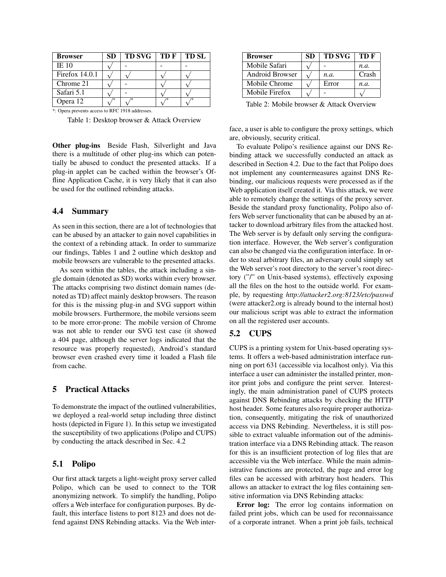| <b>Browser</b>   | SD | <b>TD SVG</b> | TD F | <b>TD SL</b> |
|------------------|----|---------------|------|--------------|
| <b>IE 10</b>     |    |               |      |              |
| Firefox $14.0.1$ |    |               |      |              |
| Chrome 21        |    |               |      |              |
| Safari 5.1       |    |               |      |              |
| Opera 12         |    |               |      |              |

\*: Opera prevents access to RFC 1918 addresses.

Table 1: Desktop browser & Attack Overview

Other plug-ins Beside Flash, Silverlight and Java there is a multitude of other plug-ins which can potentially be abused to conduct the presented attacks. If a plug-in applet can be cached within the browser's Offline Application Cache, it is very likely that it can also be used for the outlined rebinding attacks.

## 4.4 Summary

As seen in this section, there are a lot of technologies that can be abused by an attacker to gain novel capabilities in the context of a rebinding attack. In order to summarize our findings, Tables 1 and 2 outline which desktop and mobile browsers are vulnerable to the presented attacks.

As seen within the tables, the attack including a single domain (denoted as SD) works within every browser. The attacks comprising two distinct domain names (denoted as TD) affect mainly desktop browsers. The reason for this is the missing plug-in and SVG support within mobile browsers. Furthermore, the mobile versions seem to be more error-prone: The mobile version of Chrome was not able to render our SVG test case (it showed a 404 page, although the server logs indicated that the resource was properly requested), Android's standard browser even crashed every time it loaded a Flash file from cache.

# 5 Practical Attacks

To demonstrate the impact of the outlined vulnerabilities, we deployed a real-world setup including three distinct hosts (depicted in Figure 1). In this setup we investigated the susceptibility of two applications (Polipo and CUPS) by conducting the attack described in Sec. 4.2

## 5.1 Polipo

Our first attack targets a light-weight proxy server called Polipo, which can be used to connect to the TOR anonymizing network. To simplify the handling, Polipo offers a Web interface for configuration purposes. By default, this interface listens to port 8123 and does not defend against DNS Rebinding attacks. Via the Web inter-

| <b>Browser</b>  | <b>SD</b> | <b>TD SVG</b> | TD F  |
|-----------------|-----------|---------------|-------|
| Mobile Safari   |           |               | n.a.  |
| Android Browser |           | n.a.          | Crash |
| Mobile Chrome   |           | Error         | n.a.  |
| Mobile Firefox  |           |               |       |

Table 2: Mobile browser & Attack Overview

face, a user is able to configure the proxy settings, which are, obviously, security critical.

To evaluate Polipo's resilience against our DNS Rebinding attack we successfully conducted an attack as described in Section 4.2. Due to the fact that Polipo does not implement any countermeasures against DNS Rebinding, our malicious requests were processed as if the Web application itself created it. Via this attack, we were able to remotely change the settings of the proxy server. Beside the standard proxy functionality, Polipo also offers Web server functionality that can be abused by an attacker to download arbitrary files from the attacked host. The Web server is by default only serving the configuration interface. However, the Web server's configuration can also be changed via the configuration interface. In order to steal arbitrary files, an adversary could simply set the Web server's root directory to the server's root directory ("/" on Unix-based systems), effectively exposing all the files on the host to the outside world. For example, by requesting *http://attacker2.org:8123/etc/passwd* (were attacker2.org is already bound to the internal host) our malicious script was able to extract the information on all the registered user accounts.

# 5.2 CUPS

CUPS is a printing system for Unix-based operating systems. It offers a web-based administration interface running on port 631 (accessible via localhost only). Via this interface a user can administer the installed printer, monitor print jobs and configure the print server. Interestingly, the main administration panel of CUPS protects against DNS Rebinding attacks by checking the HTTP host header. Some features also require proper authorization, consequently, mitigating the risk of unauthorized access via DNS Rebinding. Nevertheless, it is still possible to extract valuable information out of the administration interface via a DNS Rebinding attack. The reason for this is an insufficient protection of log files that are accessible via the Web interface. While the main administrative functions are protected, the page and error log files can be accessed with arbitrary host headers. This allows an attacker to extract the log files containing sensitive information via DNS Rebinding attacks:

Error log: The error log contains information on failed print jobs, which can be used for reconnaissance of a corporate intranet. When a print job fails, technical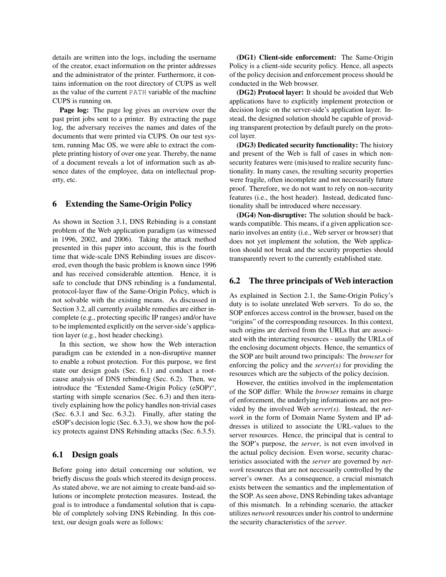details are written into the logs, including the username of the creator, exact information on the printer addresses and the administrator of the printer. Furthermore, it contains information on the root directory of CUPS as well as the value of the current PATH variable of the machine CUPS is running on.

Page log: The page log gives an overview over the past print jobs sent to a printer. By extracting the page log, the adversary receives the names and dates of the documents that were printed via CUPS. On our test system, running Mac OS, we were able to extract the complete printing history of over one year. Thereby, the name of a document reveals a lot of information such as absence dates of the employee, data on intellectual property, etc.

# 6 Extending the Same-Origin Policy

As shown in Section 3.1, DNS Rebinding is a constant problem of the Web application paradigm (as witnessed in 1996, 2002, and 2006). Taking the attack method presented in this paper into account, this is the fourth time that wide-scale DNS Rebinding issues are discovered, even though the basic problem is known since 1996 and has received considerable attention. Hence, it is safe to conclude that DNS rebinding is a fundamental, protocol-layer flaw of the Same-Origin Policy, which is not solvable with the existing means. As discussed in Section 3.2, all currently available remedies are either incomplete (e.g., protecting specific IP ranges) and/or have to be implemented explicitly on the server-side's application layer (e.g., host header checking).

In this section, we show how the Web interaction paradigm can be extended in a non-disruptive manner to enable a robust protection. For this purpose, we first state our design goals (Sec. 6.1) and conduct a rootcause analysis of DNS rebinding (Sec. 6.2). Then, we introduce the "Extended Same-Origin Policy (eSOP)", starting with simple scenarios (Sec. 6.3) and then iteratively explaining how the policy handles non-trivial cases (Sec. 6.3.1 and Sec. 6.3.2). Finally, after stating the eSOP's decision logic (Sec. 6.3.3), we show how the policy protects against DNS Rebinding attacks (Sec. 6.3.5).

### 6.1 Design goals

Before going into detail concerning our solution, we briefly discuss the goals which steered its design process. As stated above, we are not aiming to create band-aid solutions or incomplete protection measures. Instead, the goal is to introduce a fundamental solution that is capable of completely solving DNS Rebinding. In this context, our design goals were as follows:

(DG1) Client-side enforcement: The Same-Origin Policy is a client-side security policy. Hence, all aspects of the policy decision and enforcement process should be conducted in the Web browser.

(DG2) Protocol layer: It should be avoided that Web applications have to explicitly implement protection or decision logic on the server-side's application layer. Instead, the designed solution should be capable of providing transparent protection by default purely on the protocol layer.

(DG3) Dedicated security functionality: The history and present of the Web is full of cases in which nonsecurity features were (mis)used to realize security functionality. In many cases, the resulting security properties were fragile, often incomplete and not necessarily future proof. Therefore, we do not want to rely on non-security features (i.e., the host header). Instead, dedicated functionality shall be introduced where necessary.

(DG4) Non-disruptive: The solution should be backwards compatible. This means, if a given application scenario involves an entity (i.e., Web server or browser) that does not yet implement the solution, the Web application should not break and the security properties should transparently revert to the currently established state.

## 6.2 The three principals of Web interaction

As explained in Section 2.1, the Same-Origin Policy's duty is to isolate unrelated Web servers. To do so, the SOP enforces access control in the browser, based on the "origins" of the corresponding resources. In this context, such origins are derived from the URLs that are associated with the interacting resources - usually the URLs of the enclosing document objects. Hence, the semantics of the SOP are built around two principals: The *browser* for enforcing the policy and the *server(s)* for providing the resources which are the subjects of the policy decision.

However, the entities involved in the implementation of the SOP differ: While the *browser* remains in charge of enforcement, the underlying informations are not provided by the involved Web *server(s)*. Instead, the *network* in the form of Domain Name System and IP addresses is utilized to associate the URL-values to the server resources. Hence, the principal that is central to the SOP's purpose, the *server*, is not even involved in the actual policy decision. Even worse, security characteristics associated with the *server* are governed by *network* resources that are not necessarily controlled by the server's owner. As a consequence, a crucial mismatch exists between the semantics and the implementation of the SOP. As seen above, DNS Rebinding takes advantage of this mismatch. In a rebinding scenario, the attacker utilizes *network* resources under his control to undermine the security characteristics of the *server*.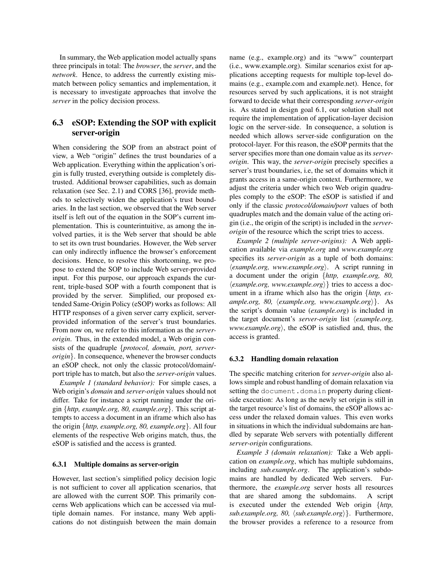In summary, the Web application model actually spans three principals in total: The *browser*, the *server*, and the *network*. Hence, to address the currently existing mismatch between policy semantics and implementation, it is necessary to investigate approaches that involve the *server* in the policy decision process.

# 6.3 eSOP: Extending the SOP with explicit server-origin

When considering the SOP from an abstract point of view, a Web "origin" defines the trust boundaries of a Web application. Everything within the application's origin is fully trusted, everything outside is completely distrusted. Additional browser capabilities, such as domain relaxation (see Sec. 2.1) and CORS [36], provide methods to selectively widen the application's trust boundaries. In the last section, we observed that the Web server itself is left out of the equation in the SOP's current implementation. This is counterintuitive, as among the involved parties, it is the Web server that should be able to set its own trust boundaries. However, the Web server can only indirectly influence the browser's enforcement decisions. Hence, to resolve this shortcoming, we propose to extend the SOP to include Web server-provided input. For this purpose, our approach expands the current, triple-based SOP with a fourth component that is provided by the server. Simplified, our proposed extended Same-Origin Policy (eSOP) works as follows: All HTTP responses of a given server carry explicit, serverprovided information of the server's trust boundaries. From now on, we refer to this information as the *serverorigin*. Thus, in the extended model, a Web origin consists of the quadruple {*protocol, domain, port, serverorigin*}. In consequence, whenever the browser conducts an eSOP check, not only the classic protocol/domain/ port triple has to match, but also the *server-origin* values.

*Example 1 (standard behavior):* For simple cases, a Web origin's *domain* and *server-origin* values should not differ. Take for instance a script running under the origin {*http, example.org, 80, example.org*}. This script attempts to access a document in an iframe which also has the origin {*http, example.org, 80, example.org*}. All four elements of the respective Web origins match, thus, the eSOP is satisfied and the access is granted.

### 6.3.1 Multiple domains as server-origin

However, last section's simplified policy decision logic is not sufficient to cover all application scenarios, that are allowed with the current SOP. This primarily concerns Web applications which can be accessed via multiple domain names. For instance, many Web applications do not distinguish between the main domain name (e.g., example.org) and its "www" counterpart (i.e., www.example.org). Similar scenarios exist for applications accepting requests for multiple top-level domains (e.g., example.com and example.net). Hence, for resources served by such applications, it is not straight forward to decide what their corresponding *server-origin* is. As stated in design goal 6.1, our solution shall not require the implementation of application-layer decision logic on the server-side. In consequence, a solution is needed which allows server-side configuration on the protocol-layer. For this reason, the eSOP permits that the server specifies more than one domain value as its *serverorigin*. This way, the *server-origin* precisely specifies a server's trust boundaries, i.e, the set of domains which it grants access in a same-origin context. Furthermore, we adjust the criteria under which two Web origin quadruples comply to the eSOP: The eSOP is satisfied if and only if the classic *protocol/domain/port* values of both quadruples match and the domain value of the acting origin (i.e., the origin of the script) is included in the *serverorigin* of the resource which the script tries to access.

*Example 2 (multiple server-origins):* A Web application available via *example.org* and *www.example.org* specifies its *server-origin* as a tuple of both domains:  $\langle example.org, \, \textit{www.example.org} \rangle$ . A script running in a document under the origin {*http, example.org, 80,*  $\langle example.org, www.example.org\rangle\}$  tries to access a document in a iframe which also has the origin {*http, example.org, 80, \example.org, www.example.org*}}. As the script's domain value (*example.org*) is included in the target document's *server-origin* list h*example.org, www.example.org*), the eSOP is satisfied and, thus, the access is granted.

#### 6.3.2 Handling domain relaxation

The specific matching criterion for *server-origin* also allows simple and robust handling of domain relaxation via setting the document.domain property during clientside execution: As long as the newly set origin is still in the target resource's list of domains, the eSOP allows access under the relaxed domain values. This even works in situations in which the individual subdomains are handled by separate Web servers with potentially different *server-origin* configurations.

*Example 3 (domain relaxation):* Take a Web application on *example.org*, which has multiple subdomains, including *sub.example.org*. The application's subdomains are handled by dedicated Web servers. Furthermore, the *example.org* server hosts all resources that are shared among the subdomains. A script is executed under the extended Web origin {*http, sub.example.org, 80,*  $\langle sub.example.org \rangle$ *.* Furthermore, the browser provides a reference to a resource from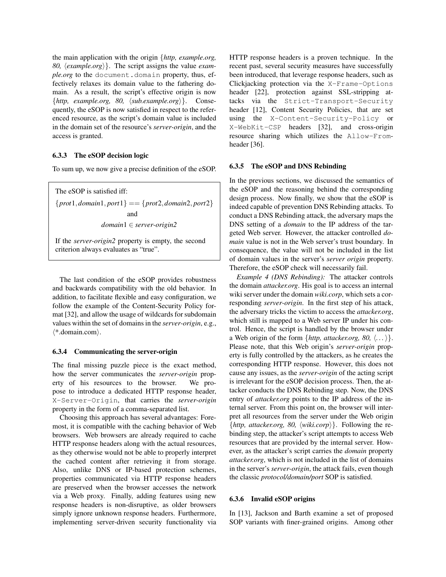the main application with the origin {*http, example.org,* 80,  $\langle example.org \rangle$ . The script assigns the value *example.org* to the document.domain property, thus, effectively relaxes its domain value to the fathering domain. As a result, the script's effective origin is now  $\{http, example.org, 80, \langle subexample.org \rangle\}.$  Consequently, the eSOP is now satisfied in respect to the referenced resource, as the script's domain value is included in the domain set of the resource's *server-origin*, and the access is granted.

### 6.3.3 The eSOP decision logic

To sum up, we now give a precise definition of the eSOP.

The eSOP is satisfied iff: {*prot*1,*domain*1, *port*1} == {*prot*2,*domain*2, *port*2} and *domain*1 ∈ *server-origin2*

If the *server-origin2* property is empty, the second criterion always evaluates as "true".

The last condition of the eSOP provides robustness and backwards compatibility with the old behavior. In addition, to facilitate flexible and easy configuration, we follow the example of the Content-Security Policy format [32], and allow the usage of wildcards for subdomain values within the set of domains in the *server-origin*, e.g.,  $\langle$ \*.domain.com $\rangle$ .

#### 6.3.4 Communicating the server-origin

The final missing puzzle piece is the exact method, how the server communicates the *server-origin* property of his resources to the browser. We propose to introduce a dedicated HTTP response header, X-Server-Origin, that carries the *server-origin* property in the form of a comma-separated list.

Choosing this approach has several advantages: Foremost, it is compatible with the caching behavior of Web browsers. Web browsers are already required to cache HTTP response headers along with the actual resources, as they otherwise would not be able to properly interpret the cached content after retrieving it from storage. Also, unlike DNS or IP-based protection schemes, properties communicated via HTTP response headers are preserved when the browser accesses the network via a Web proxy. Finally, adding features using new response headers is non-disruptive, as older browsers simply ignore unknown response headers. Furthermore, implementing server-driven security functionality via HTTP response headers is a proven technique. In the recent past, several security measures have successfully been introduced, that leverage response headers, such as Clickjacking protection via the X-Frame-Options header [22], protection against SSL-stripping attacks via the Strict-Transport-Security header [12], Content Security Policies, that are set using the X-Content-Security-Policy or X-WebKit-CSP headers [32], and cross-origin resource sharing which utilizes the Allow-Fromheader [36].

#### 6.3.5 The eSOP and DNS Rebinding

In the previous sections, we discussed the semantics of the eSOP and the reasoning behind the corresponding design process. Now finally, we show that the eSOP is indeed capable of prevention DNS Rebinding attacks. To conduct a DNS Rebinding attack, the adversary maps the DNS setting of a *domain* to the IP address of the targeted Web server. However, the attacker controlled *domain* value is not in the Web server's trust boundary. In consequence, the value will not be included in the list of domain values in the server's *server origin* property. Therefore, the eSOP check will necessarily fail.

*Example 4 (DNS Rebinding):* The attacker controls the domain *attacker.org*. His goal is to access an internal wiki server under the domain *wiki.corp*, which sets a corresponding *server-origin*. In the first step of his attack, the adversary tricks the victim to access the *attacker.org*, which still is mapped to a Web server IP under his control. Hence, the script is handled by the browser under a Web origin of the form  $\{http, attacker.org, 80, \langle \dots \rangle\}.$ Please note, that this Web origin's *server-origin* property is fully controlled by the attackers, as he creates the corresponding HTTP response. However, this does not cause any issues, as the *server-origin* of the acting script is irrelevant for the eSOP decision process. Then, the attacker conducts the DNS Rebinding step. Now, the DNS entry of *attacker.org* points to the IP address of the internal server. From this point on, the browser will interpret all resources from the server under the Web origin  $\{http, attacker.org, 80, \langle wiki.corp\rangle\}.$  Following the rebinding step, the attacker's script attempts to access Web resources that are provided by the internal server. However, as the attacker's script carries the *domain* property *attacker.org*, which is not included in the list of domains in the server's *server-origin*, the attack fails, even though the classic *protocol/domain/port* SOP is satisfied.

#### 6.3.6 Invalid eSOP origins

In [13], Jackson and Barth examine a set of proposed SOP variants with finer-grained origins. Among other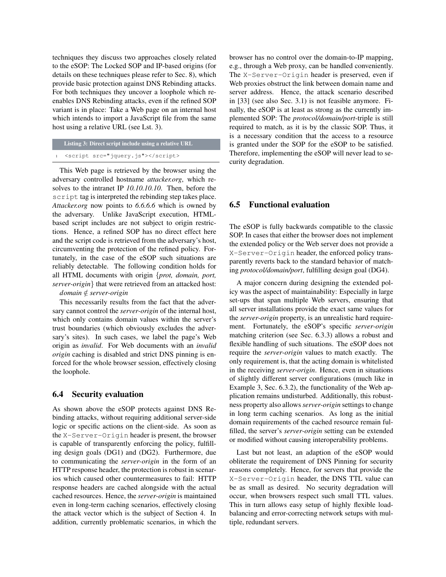techniques they discuss two approaches closely related to the eSOP: The Locked SOP and IP-based origins (for details on these techniques please refer to Sec. 8), which provide basic protection against DNS Rebinding attacks. For both techniques they uncover a loophole which reenables DNS Rebinding attacks, even if the refined SOP variant is in place: Take a Web page on an internal host which intends to import a JavaScript file from the same host using a relative URL (see Lst. 3).

```
Listing 3: Direct script include using a relative URL
```

```
1 <script src="jquery.js"></script>
```
This Web page is retrieved by the browser using the adversary controlled hostname *attacker.org*, which resolves to the intranet IP *10.10.10.10*. Then, before the script tag is interpreted the rebinding step takes place. *Attacker.org* now points to *6.6.6.6* which is owned by the adversary. Unlike JavaScript execution, HTMLbased script includes are not subject to origin restrictions. Hence, a refined SOP has no direct effect here and the script code is retrieved from the adversary's host, circumventing the protection of the refined policy. Fortunately, in the case of the eSOP such situations are reliably detectable. The following condition holds for all HTML documents with origin {*prot, domain, port, server-origin*} that were retrieved from an attacked host:

## *domain* ∈/ *server-origin*

This necessarily results from the fact that the adversary cannot control the *server-origin* of the internal host, which only contains domain values within the server's trust boundaries (which obviously excludes the adversary's sites). In such cases, we label the page's Web origin as *invalid*. For Web documents with an *invalid origin* caching is disabled and strict DNS pinning is enforced for the whole browser session, effectively closing the loophole.

## 6.4 Security evaluation

As shown above the eSOP protects against DNS Rebinding attacks, without requiring additional server-side logic or specific actions on the client-side. As soon as the X-Server-Origin header is present, the browser is capable of transparently enforcing the policy, fulfilling design goals (DG1) and (DG2). Furthermore, due to communicating the *server-origin* in the form of an HTTP response header, the protection is robust in scenarios which caused other countermeasures to fail: HTTP response headers are cached alongside with the actual cached resources. Hence, the *server-origin* is maintained even in long-term caching scenarios, effectively closing the attack vector which is the subject of Section 4. In addition, currently problematic scenarios, in which the browser has no control over the domain-to-IP mapping, e.g., through a Web proxy, can be handled conveniently. The X-Server-Origin header is preserved, even if Web proxies obstruct the link between domain name and server address. Hence, the attack scenario described in [33] (see also Sec. 3.1) is not feasible anymore. Finally, the eSOP is at least as strong as the currently implemented SOP: The *protocol/domain/port*-triple is still required to match, as it is by the classic SOP. Thus, it is a necessary condition that the access to a resource is granted under the SOP for the eSOP to be satisfied. Therefore, implementing the eSOP will never lead to security degradation.

# 6.5 Functional evaluation

The eSOP is fully backwards compatible to the classic SOP. In cases that either the browser does not implement the extended policy or the Web server does not provide a X-Server-Origin header, the enforced policy transparently reverts back to the standard behavior of matching *protocol/domain/port*, fulfilling design goal (DG4).

A major concern during designing the extended policy was the aspect of maintainability: Especially in large set-ups that span multiple Web servers, ensuring that all server installations provide the exact same values for the *server-origin* property, is an unrealistic hard requirement. Fortunately, the eSOP's specific *server-origin* matching criterion (see Sec. 6.3.3) allows a robust and flexible handling of such situations. The eSOP does not require the *server-origin* values to match exactly. The only requirement is, that the acting domain is whitelisted in the receiving *server-origin*. Hence, even in situations of slightly different server configurations (much like in Example 3, Sec. 6.3.2), the functionality of the Web application remains undisturbed. Additionally, this robustness property also allows*server-origin* settings to change in long term caching scenarios. As long as the initial domain requirements of the cached resource remain fulfilled, the server's *server-origin* setting can be extended or modified without causing interoperability problems.

Last but not least, an adaption of the eSOP would obliterate the requirement of DNS Pinning for security reasons completely. Hence, for servers that provide the X-Server-Origin header, the DNS TTL value can be as small as desired. No security degradation will occur, when browsers respect such small TTL values. This in turn allows easy setup of highly flexible loadbalancing and error-correcting network setups with multiple, redundant servers.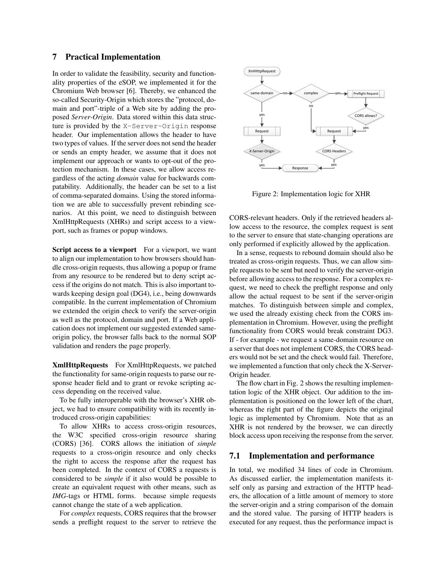### 7 Practical Implementation

In order to validate the feasibility, security and functionality properties of the eSOP, we implemented it for the Chromium Web browser [6]. Thereby, we enhanced the so-called Security-Origin which stores the "protocol, domain and port"-triple of a Web site by adding the proposed *Server-Origin*. Data stored within this data structure is provided by the X-Server-Origin response header. Our implementation allows the header to have two types of values. If the server does not send the header or sends an empty header, we assume that it does not implement our approach or wants to opt-out of the protection mechanism. In these cases, we allow access regardless of the acting *domain* value for backwards compatability. Additionally, the header can be set to a list of comma-separated domains. Using the stored information we are able to successfully prevent rebinding scenarios. At this point, we need to distinguish between XmlHttpRequests (XHRs) and script access to a viewport, such as frames or popup windows.

Script access to a viewport For a viewport, we want to align our implementation to how browsers should handle cross-origin requests, thus allowing a popup or frame from any resource to be rendered but to deny script access if the origins do not match. This is also important towards keeping design goal (DG4), i.e., being downwards compatible. In the current implementation of Chromium we extended the origin check to verify the server-origin as well as the protocol, domain and port. If a Web application does not implement our suggested extended sameorigin policy, the browser falls back to the normal SOP validation and renders the page properly.

XmlHttpRequests For XmlHttpRequests, we patched the functionality for same-origin requests to parse our response header field and to grant or revoke scripting access depending on the received value.

To be fully interoperable with the browser's XHR object, we had to ensure compatibility with its recently introduced cross-origin capabilities:

To allow XHRs to access cross-origin resources, the W3C specified cross-origin resource sharing (CORS) [36]. CORS allows the initiation of *simple* requests to a cross-origin resource and only checks the right to access the response after the request has been completed. In the context of CORS a requests is considered to be *simple* if it also would be possible to create an equivalent request with other means, such as *IMG*-tags or HTML forms. because simple requests cannot change the state of a web application.

For *complex* requests, CORS requires that the browser sends a preflight request to the server to retrieve the



Figure 2: Implementation logic for XHR

CORS-relevant headers. Only if the retrieved headers allow access to the resource, the complex request is sent to the server to ensure that state-changing operations are only performed if explicitly allowed by the application.

In a sense, requests to rebound domain should also be treated as cross-origin requests. Thus, we can allow simple requests to be sent but need to verify the server-origin before allowing access to the response. For a complex request, we need to check the preflight response and only allow the actual request to be sent if the server-origin matches. To distinguish between simple and complex, we used the already existing check from the CORS implementation in Chromium. However, using the preflight functionality from CORS would break constraint DG3. If - for example - we request a same-domain resource on a server that does not implement CORS, the CORS headers would not be set and the check would fail. Therefore, we implemented a function that only check the X-Server-Origin header.

The flow chart in Fig. 2 shows the resulting implementation logic of the XHR object. Our addition to the implementation is positioned on the lower left of the chart, whereas the right part of the figure depicts the original logic as implemented by Chromium. Note that as an XHR is not rendered by the browser, we can directly block access upon receiving the response from the server.

### 7.1 Implementation and performance

In total, we modified 34 lines of code in Chromium. As discussed earlier, the implementation manifests itself only as parsing and extraction of the HTTP headers, the allocation of a little amount of memory to store the server-origin and a string comparison of the domain and the stored value. The parsing of HTTP headers is executed for any request, thus the performance impact is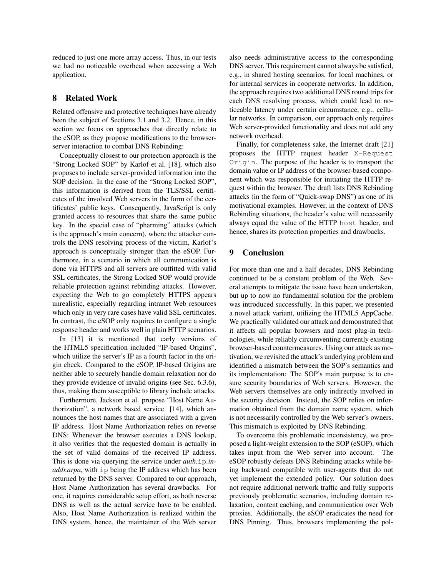reduced to just one more array access. Thus, in our tests we had no noticeable overhead when accessing a Web application.

## 8 Related Work

Related offensive and protective techniques have already been the subject of Sections 3.1 and 3.2. Hence, in this section we focus on approaches that directly relate to the eSOP, as they propose modifications to the browserserver interaction to combat DNS Rebinding:

Conceptually closest to our protection approach is the "Strong Locked SOP" by Karlof et al. [18], which also proposes to include server-provided information into the SOP decision. In the case of the "Strong Locked SOP", this information is derived from the TLS/SSL certificates of the involved Web servers in the form of the certificates' public keys. Consequently, JavaScript is only granted access to resources that share the same public key. In the special case of "pharming" attacks (which is the approach's main concern), where the attacker controls the DNS resolving process of the victim, Karlof's approach is conceptually stronger than the eSOP. Furthermore, in a scenario in which all communication is done via HTTPS and all servers are outfitted with valid SSL certificates, the Strong Locked SOP would provide reliable protection against rebinding attacks. However, expecting the Web to go completely HTTPS appears unrealistic, especially regarding intranet Web resources which only in very rare cases have valid SSL certificates. In contrast, the eSOP only requires to configure a single response header and works well in plain HTTP scenarios.

In [13] it is mentioned that early versions of the HTML5 specification included "IP-based Origins", which utilize the server's IP as a fourth factor in the origin check. Compared to the eSOP, IP-based Origins are neither able to securely handle domain relaxation nor do they provide evidence of invalid origins (see Sec. 6.3.6), thus, making them susceptible to library include attacks.

Furthermore, Jackson et al. propose "Host Name Authorization", a network based service [14], which announces the host names that are associated with a given IP address. Host Name Authorization relies on reverse DNS: Whenever the browser executes a DNS lookup, it also verifies that the requested domain is actually in the set of valid domains of the received IP address. This is done via querying the service under *auth.*ip*.inaddr.arpa*, with ip being the IP address which has been returned by the DNS server. Compared to our approach, Host Name Authorization has several drawbacks. For one, it requires considerable setup effort, as both reverse DNS as well as the actual service have to be enabled. Also, Host Name Authorization is realized within the DNS system, hence, the maintainer of the Web server also needs administrative access to the corresponding DNS server. This requirement cannot always be satisfied, e.g., in shared hosting scenarios, for local machines, or for internal services in cooperate networks. In addition, the approach requires two additional DNS round trips for each DNS resolving process, which could lead to noticeable latency under certain circumstance, e.g., cellular networks. In comparison, our approach only requires Web server-provided functionality and does not add any network overhead.

Finally, for completeness sake, the Internet draft [21] proposes the HTTP request header X-Request Origin. The purpose of the header is to transport the domain value or IP address of the browser-based component which was responsible for initiating the HTTP request within the browser. The draft lists DNS Rebinding attacks (in the form of "Quick-swap DNS") as one of its motivational examples. However, in the context of DNS Rebinding situations, the header's value will necessarily always equal the value of the HTTP host header, and hence, shares its protection properties and drawbacks.

# 9 Conclusion

For more than one and a half decades, DNS Rebinding continued to be a constant problem of the Web. Several attempts to mitigate the issue have been undertaken, but up to now no fundamental solution for the problem was introduced successfully. In this paper, we presented a novel attack variant, utilizing the HTML5 AppCache. We practically validated our attack and demonstrated that it affects all popular browsers and most plug-in technologies, while reliably circumventing currently existing browser-based countermeasures. Using our attack as motivation, we revisited the attack's underlying problem and identified a mismatch between the SOP's semantics and its implementation: The SOP's main purpose is to ensure security boundaries of Web servers. However, the Web servers themselves are only indirectly involved in the security decision. Instead, the SOP relies on information obtained from the domain name system, which is not necessarily controlled by the Web server's owners. This mismatch is exploited by DNS Rebinding.

To overcome this problematic inconsistency, we proposed a light-weight extension to the SOP (eSOP), which takes input from the Web server into account. The eSOP robustly defeats DNS Rebinding attacks while being backward compatible with user-agents that do not yet implement the extended policy. Our solution does not require additional network traffic and fully supports previously problematic scenarios, including domain relaxation, content caching, and communication over Web proxies. Additionally, the eSOP eradicates the need for DNS Pinning. Thus, browsers implementing the pol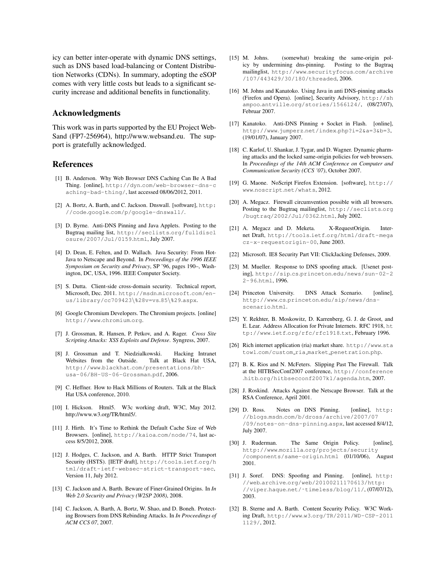icy can better inter-operate with dynamic DNS settings, such as DNS based load-balancing or Content Distribution Networks (CDNs). In summary, adopting the eSOP comes with very little costs but leads to a significant security increase and additional benefits in functionality.

### Acknowledgments

This work was in parts supported by the EU Project Web-Sand (FP7-256964), http://www.websand.eu. The support is gratefully acknowledged.

## References

- [1] B. Anderson. Why Web Browser DNS Caching Can Be A Bad Thing. [online], http://dyn.com/web-browser-dns-c aching-bad-thing/, last accessed 08/06/2012, 2011.
- [2] A. Bortz, A. Barth, and C. Jackson. Dnswall. [software], http: //code.google.com/p/google-dnswall/.
- [3] D. Byrne. Anti-DNS Pinning and Java Applets. Posting to the Bugtraq mailing list, http://seclists.org/fulldiscl osure/2007/Jul/0159.html, July 2007.
- [4] D. Dean, E. Felten, and D. Wallach. Java Security: From Hot-Java to Netscape and Beyond. In *Proceedings of the 1996 IEEE Symposium on Security and Privacy*, SP '96, pages 190–, Washington, DC, USA, 1996. IEEE Computer Society.
- [5] S. Dutta. Client-side cross-domain security. Technical report, Microsoft, Dec. 2011. http://msdn.microsoft.com/enus/library/cc709423\%28v=vs.85\%29.aspx.
- [6] Google Chromium Developers. The Chromium projects. [online] http://www.chromium.org.
- [7] J. Grossman, R. Hansen, P. Petkov, and A. Rager. *Cross Site Scripting Attacks: XSS Exploits and Defense*. Syngress, 2007.
- [8] J. Grossman and T. Niedzialkowski. Hacking Intranet Websites from the Outside. Talk at Black Hat USA, http://www.blackhat.com/presentations/bhusa-06/BH-US-06-Grossman.pdf, 2006.
- [9] C. Heffner. How to Hack Millions of Routers. Talk at the Black Hat USA conference, 2010.
- [10] I. Hickson. Html5. W3c working draft, W3C, May 2012. http://www.w3.org/TR/html5/.
- [11] J. Hirth. It's Time to Rethink the Default Cache Size of Web Browsers. [online], http://kaioa.com/node/74, last access 8/5/2012, 2008.
- [12] J. Hodges, C. Jackson, and A. Barth. HTTP Strict Transport Security (HSTS). [IETF draft], http://tools.ietf.org/h tml/draft-ietf-websec-strict-transport-sec, Version 11, July 2012.
- [13] C. Jackson and A. Barth. Beware of Finer-Grained Origins. In *In Web 2.0 Security and Privacy (W2SP 2008)*, 2008.
- [14] C. Jackson, A. Barth, A. Bortz, W. Shao, and D. Boneh. Protecting Browsers from DNS Rebinding Attacks. In *In Proceedings of ACM CCS 07*, 2007.
- [15] M. Johns. (somewhat) breaking the same-origin policy by undermining dns-pinning. Posting to the Bugtraq mailinglist, http://www.securityfocus.com/archive /107/443429/30/180/threaded, 2006.
- [16] M. Johns and Kanatoko. Using Java in anti DNS-pinning attacks (Firefox and Opera). [online], Security Advisory, http://sh ampoo.antville.org/stories/1566124/, (08/27/07), Februar 2007.
- [17] Kanatoko. Anti-DNS Pinning + Socket in Flash. [online], http://www.jumperz.net/index.php?i=2&a=3&b=3, (19/01/07), January 2007.
- [18] C. Karlof, U. Shankar, J. Tygar, and D. Wagner. Dynamic pharming attacks and the locked same-origin policies for web browsers. In *Proceedings of the 14th ACM Conference on Computer and Communication Security (CCS '07)*, October 2007.
- [19] G. Maone. NoScript Firefox Extension. [software], http:// www.noscript.net/whats, 2012.
- [20] A. Megacz. Firewall circumvention possible with all browsers. Posting to the Bugtraq mailinglist, http://seclists.org /bugtraq/2002/Jul/0362.html, July 2002.
- [21] A. Megacz and D. Meketa. X-RequestOrigin. Internet Draft, http://tools.ietf.org/html/draft-mega cz-x-requestorigin-00, June 2003.
- [22] Microsoft. IE8 Security Part VII: ClickJacking Defenses, 2009.
- [23] M. Mueller. Response to DNS spoofing attack. [Usenet posting], http://sip.cs.princeton.edu/news/sun-02-2 2-96.html, 1996.
- [24] Princeton University. DNS Attack Scenario. [online], http://www.cs.princeton.edu/sip/news/dnsscenario.html.
- [25] Y. Rekhter, B. Moskowitz, D. Karrenberg, G. J. de Groot, and E. Lear. Address Allocation for Private Internets. RFC 1918, ht tp://www.ietf.org/rfc/rfc1918.txt, February 1996.
- [26] Rich internet application (ria) market share. http://www.sta towl.com/custom ria market penetration.php.
- [27] B. K. Rios and N. McFeters. Slipping Past The Firewall. Talk at the HITBSecConf2007 conference, http://conference .hitb.org/hitbsecconf2007kl/agenda.htm, 2007.
- [28] J. Roskind. Attacks Against the Netscape Browser. Talk at the RSA Conference, April 2001.
- [29] D. Ross. Notes on DNS Pinning. [online], http: //blogs.msdn.com/b/dross/archive/2007/07 /09/notes-on-dns-pinning.aspx, last accessed 8/4/12, July 2007.
- [30] J. Ruderman. The Same Origin Policy. [online], http://www.mozilla.org/projects/security /components/same-origin.html (01/10/06), August 2001.
- [31] J. Soref. DNS: Spoofing and Pinning. [online], http: //web.archive.org/web/20100211170613/http: //viper.haque.net/˜timeless/blog/11/, (07/07/12), 2003.
- [32] B. Sterne and A. Barth. Content Security Policy. W3C Working Draft, http://www.w3.org/TR/2011/WD-CSP-2011 1129/, 2012.